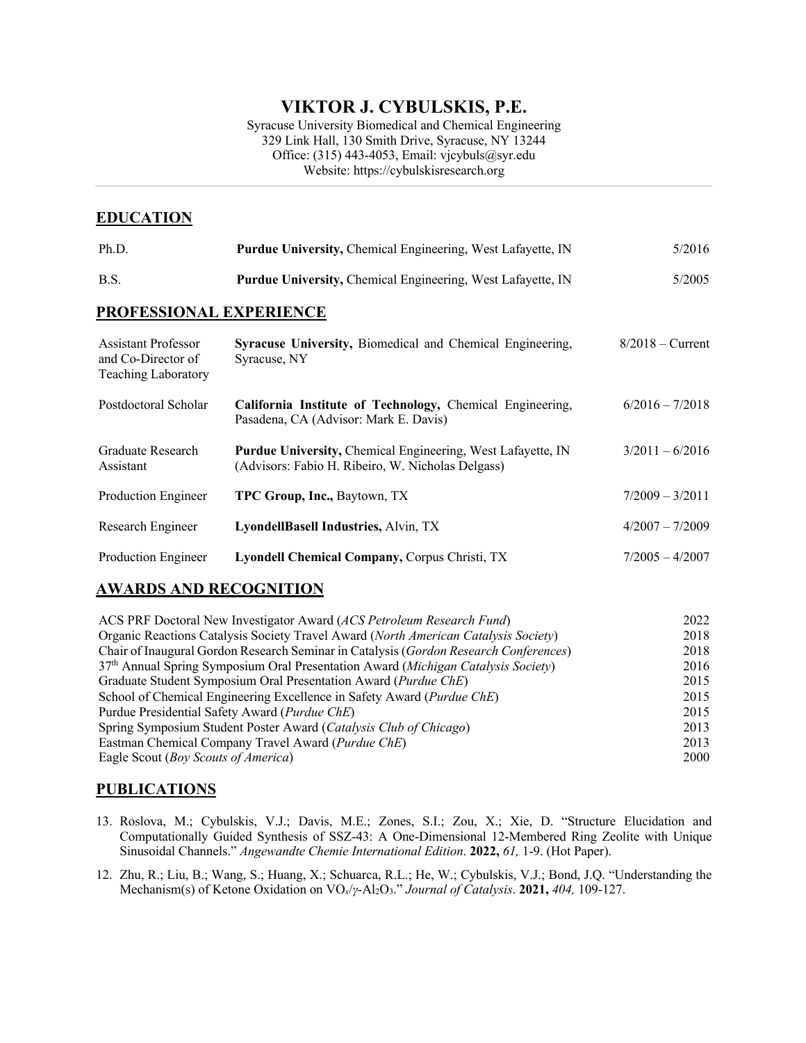# **VIKTOR J. CYBULSKIS, P.E.**

Syracuse University Biomedical and Chemical Engineering 329 Link Hall, 130 Smith Drive, Syracuse, NY 13244 Office: (315) 443-4053, Email: vjcybuls@syr.edu Website: https://cybulskisresearch.org

## **EDUCATION**

| Ph.D.                                                                          | Purdue University, Chemical Engineering, West Lafayette, IN                                                      | 5/2016             |  |
|--------------------------------------------------------------------------------|------------------------------------------------------------------------------------------------------------------|--------------------|--|
| B.S.                                                                           | Purdue University, Chemical Engineering, West Lafayette, IN                                                      | 5/2005             |  |
| PROFESSIONAL EXPERIENCE                                                        |                                                                                                                  |                    |  |
| <b>Assistant Professor</b><br>and Co-Director of<br><b>Teaching Laboratory</b> | <b>Syracuse University, Biomedical and Chemical Engineering,</b><br>Syracuse, NY                                 | $8/2018$ – Current |  |
| Postdoctoral Scholar                                                           | California Institute of Technology, Chemical Engineering,<br>Pasadena, CA (Advisor: Mark E. Davis)               | $6/2016 - 7/2018$  |  |
| Graduate Research<br>Assistant                                                 | Purdue University, Chemical Engineering, West Lafayette, IN<br>(Advisors: Fabio H. Ribeiro, W. Nicholas Delgass) | $3/2011 - 6/2016$  |  |
| Production Engineer                                                            | TPC Group, Inc., Baytown, TX                                                                                     | $7/2009 - 3/2011$  |  |
| Research Engineer                                                              | LyondellBasell Industries, Alvin, TX                                                                             | $4/2007 - 7/2009$  |  |
| Production Engineer                                                            | Lyondell Chemical Company, Corpus Christi, TX                                                                    | $7/2005 - 4/2007$  |  |

## **AWARDS AND RECOGNITION**

| 2022 |
|------|
| 2018 |
| 2018 |
| 2016 |
| 2015 |
| 2015 |
| 2015 |
| 2013 |
| 2013 |
| 2000 |
|      |

## **PUBLICATIONS**

- 13. Roslova, M.; Cybulskis, V.J.; Davis, M.E.; Zones, S.I.; Zou, X.; Xie, D. "Structure Elucidation and Computationally Guided Synthesis of SSZ-43: A One-Dimensional 12-Membered Ring Zeolite with Unique Sinusoidal Channels." *Angewandte Chemie International Edition*. **2022,** *61,* 1-9. (Hot Paper).
- 12. Zhu, R.; Liu, B.; Wang, S.; Huang, X.; Schuarca, R.L.; He, W.; Cybulskis, V.J.; Bond, J.Q. "Understanding the Mechanism(s) of Ketone Oxidation on VO*x*/*γ*-Al2O3." *Journal of Catalysis*. **2021,** *404,* 109-127.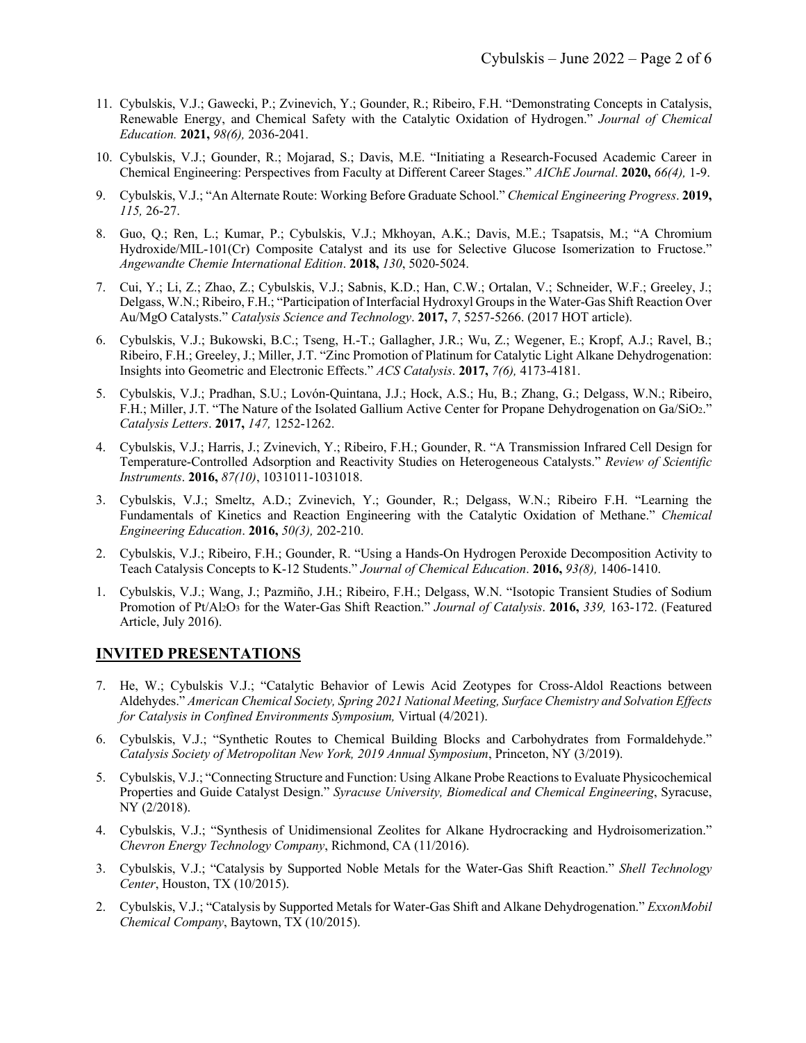- 11. Cybulskis, V.J.; Gawecki, P.; Zvinevich, Y.; Gounder, R.; Ribeiro, F.H. "Demonstrating Concepts in Catalysis, Renewable Energy, and Chemical Safety with the Catalytic Oxidation of Hydrogen." *Journal of Chemical Education.* **2021,** *98(6),* 2036-2041.
- 10. Cybulskis, V.J.; Gounder, R.; Mojarad, S.; Davis, M.E. "Initiating a Research-Focused Academic Career in Chemical Engineering: Perspectives from Faculty at Different Career Stages." *AIChE Journal*. **2020,** *66(4),* 1-9.
- 9. Cybulskis, V.J.; "An Alternate Route: Working Before Graduate School." *Chemical Engineering Progress*. **2019,**  *115,* 26-27.
- 8. Guo, Q.; Ren, L.; Kumar, P.; Cybulskis, V.J.; Mkhoyan, A.K.; Davis, M.E.; Tsapatsis, M.; "A Chromium Hydroxide/MIL-101(Cr) Composite Catalyst and its use for Selective Glucose Isomerization to Fructose." *Angewandte Chemie International Edition*. **2018,** *130*, 5020-5024.
- 7. Cui, Y.; Li, Z.; Zhao, Z.; Cybulskis, V.J.; Sabnis, K.D.; Han, C.W.; Ortalan, V.; Schneider, W.F.; Greeley, J.; Delgass, W.N.; Ribeiro, F.H.; "Participation of Interfacial Hydroxyl Groups in the Water-Gas Shift Reaction Over Au/MgO Catalysts." *Catalysis Science and Technology*. **2017,** *7*, 5257-5266. (2017 HOT article).
- 6. Cybulskis, V.J.; Bukowski, B.C.; Tseng, H.-T.; Gallagher, J.R.; Wu, Z.; Wegener, E.; Kropf, A.J.; Ravel, B.; Ribeiro, F.H.; Greeley, J.; Miller, J.T. "Zinc Promotion of Platinum for Catalytic Light Alkane Dehydrogenation: Insights into Geometric and Electronic Effects." *ACS Catalysis*. **2017,** *7(6),* 4173-4181.
- 5. Cybulskis, V.J.; Pradhan, S.U.; Lovón-Quintana, J.J.; Hock, A.S.; Hu, B.; Zhang, G.; Delgass, W.N.; Ribeiro, F.H.; Miller, J.T. "The Nature of the Isolated Gallium Active Center for Propane Dehydrogenation on Ga/SiO2." *Catalysis Letters*. **2017,** *147,* 1252-1262.
- 4. Cybulskis, V.J.; Harris, J.; Zvinevich, Y.; Ribeiro, F.H.; Gounder, R. "A Transmission Infrared Cell Design for Temperature-Controlled Adsorption and Reactivity Studies on Heterogeneous Catalysts." *Review of Scientific Instruments*. **2016,** *87(10)*, 1031011-1031018.
- 3. Cybulskis, V.J.; Smeltz, A.D.; Zvinevich, Y.; Gounder, R.; Delgass, W.N.; Ribeiro F.H. "Learning the Fundamentals of Kinetics and Reaction Engineering with the Catalytic Oxidation of Methane." *Chemical Engineering Education*. **2016,** *50(3),* 202-210.
- 2. Cybulskis, V.J.; Ribeiro, F.H.; Gounder, R. "Using a Hands-On Hydrogen Peroxide Decomposition Activity to Teach Catalysis Concepts to K-12 Students." *Journal of Chemical Education*. **2016,** *93(8),* 1406-1410.
- 1. Cybulskis, V.J.; Wang, J.; Pazmiño, J.H.; Ribeiro, F.H.; Delgass, W.N. "Isotopic Transient Studies of Sodium Promotion of Pt/Al2O3 for the Water-Gas Shift Reaction." *Journal of Catalysis*. **2016,** *339,* 163-172. (Featured Article, July 2016).

### **INVITED PRESENTATIONS**

- 7. He, W.; Cybulskis V.J.; "Catalytic Behavior of Lewis Acid Zeotypes for Cross-Aldol Reactions between Aldehydes." *American Chemical Society, Spring 2021 National Meeting, Surface Chemistry and Solvation Effects for Catalysis in Confined Environments Symposium,* Virtual (4/2021).
- 6. Cybulskis, V.J.; "Synthetic Routes to Chemical Building Blocks and Carbohydrates from Formaldehyde." *Catalysis Society of Metropolitan New York, 2019 Annual Symposium*, Princeton, NY (3/2019).
- 5. Cybulskis, V.J.; "Connecting Structure and Function: Using Alkane Probe Reactions to Evaluate Physicochemical Properties and Guide Catalyst Design." *Syracuse University, Biomedical and Chemical Engineering*, Syracuse, NY (2/2018).
- 4. Cybulskis, V.J.; "Synthesis of Unidimensional Zeolites for Alkane Hydrocracking and Hydroisomerization." *Chevron Energy Technology Company*, Richmond, CA (11/2016).
- 3. Cybulskis, V.J.; "Catalysis by Supported Noble Metals for the Water-Gas Shift Reaction." *Shell Technology Center*, Houston, TX (10/2015).
- 2. Cybulskis, V.J.; "Catalysis by Supported Metals for Water-Gas Shift and Alkane Dehydrogenation." *ExxonMobil Chemical Company*, Baytown, TX (10/2015).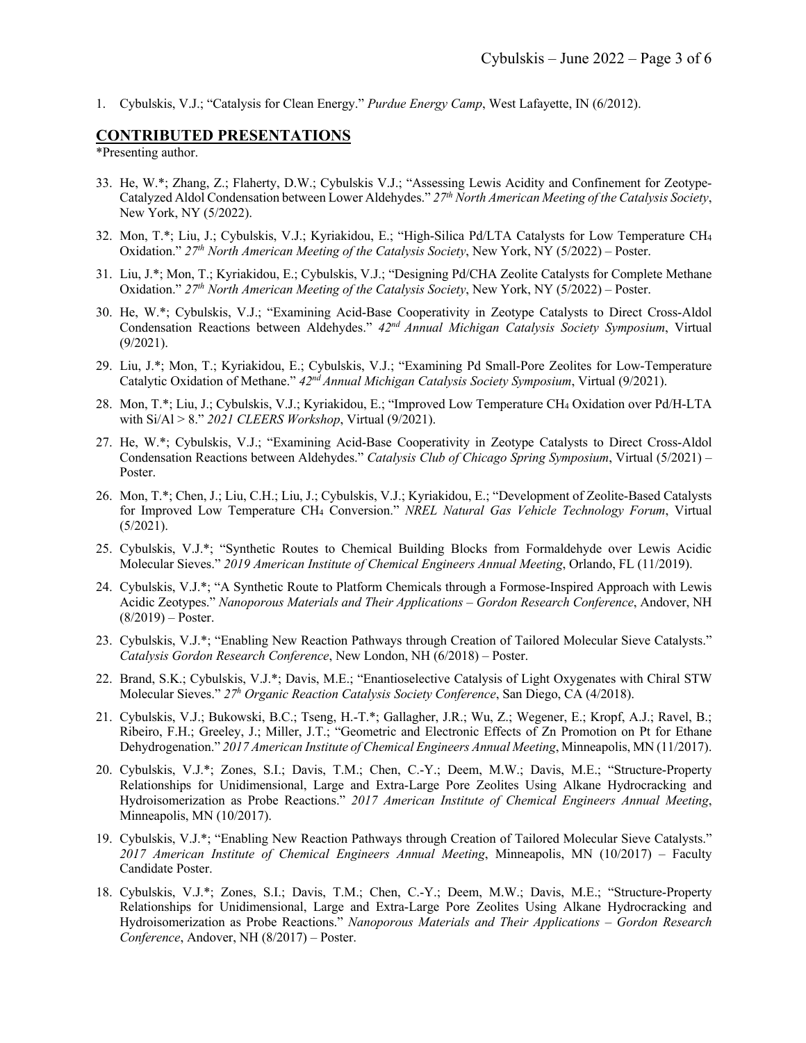1. Cybulskis, V.J.; "Catalysis for Clean Energy." *Purdue Energy Camp*, West Lafayette, IN (6/2012).

#### **CONTRIBUTED PRESENTATIONS**

\*Presenting author.

- 33. He, W.\*; Zhang, Z.; Flaherty, D.W.; Cybulskis V.J.; "Assessing Lewis Acidity and Confinement for Zeotype-Catalyzed Aldol Condensation between Lower Aldehydes." *27th North American Meeting of the Catalysis Society*, New York, NY (5/2022).
- 32. Mon, T.\*; Liu, J.; Cybulskis, V.J.; Kyriakidou, E.; "High-Silica Pd/LTA Catalysts for Low Temperature CH4 Oxidation." *27th North American Meeting of the Catalysis Society*, New York, NY (5/2022) – Poster.
- 31. Liu, J.\*; Mon, T.; Kyriakidou, E.; Cybulskis, V.J.; "Designing Pd/CHA Zeolite Catalysts for Complete Methane Oxidation." *27th North American Meeting of the Catalysis Society*, New York, NY (5/2022) – Poster.
- 30. He, W.\*; Cybulskis, V.J.; "Examining Acid-Base Cooperativity in Zeotype Catalysts to Direct Cross-Aldol Condensation Reactions between Aldehydes." *42nd Annual Michigan Catalysis Society Symposium*, Virtual (9/2021).
- 29. Liu, J.\*; Mon, T.; Kyriakidou, E.; Cybulskis, V.J.; "Examining Pd Small-Pore Zeolites for Low-Temperature Catalytic Oxidation of Methane." *42nd Annual Michigan Catalysis Society Symposium*, Virtual (9/2021).
- 28. Mon, T.\*; Liu, J.; Cybulskis, V.J.; Kyriakidou, E.; "Improved Low Temperature CH4 Oxidation over Pd/H-LTA with Si/Al > 8." *2021 CLEERS Workshop*, Virtual (9/2021).
- 27. He, W.\*; Cybulskis, V.J.; "Examining Acid-Base Cooperativity in Zeotype Catalysts to Direct Cross-Aldol Condensation Reactions between Aldehydes." *Catalysis Club of Chicago Spring Symposium*, Virtual (5/2021) – Poster.
- 26. Mon, T.\*; Chen, J.; Liu, C.H.; Liu, J.; Cybulskis, V.J.; Kyriakidou, E.; "Development of Zeolite-Based Catalysts for Improved Low Temperature CH4 Conversion." *NREL Natural Gas Vehicle Technology Forum*, Virtual (5/2021).
- 25. Cybulskis, V.J.\*; "Synthetic Routes to Chemical Building Blocks from Formaldehyde over Lewis Acidic Molecular Sieves." *2019 American Institute of Chemical Engineers Annual Meeting*, Orlando, FL (11/2019).
- 24. Cybulskis, V.J.\*; "A Synthetic Route to Platform Chemicals through a Formose-Inspired Approach with Lewis Acidic Zeotypes." *Nanoporous Materials and Their Applications – Gordon Research Conference*, Andover, NH (8/2019) – Poster.
- 23. Cybulskis, V.J.\*; "Enabling New Reaction Pathways through Creation of Tailored Molecular Sieve Catalysts." *Catalysis Gordon Research Conference*, New London, NH (6/2018) – Poster.
- 22. Brand, S.K.; Cybulskis, V.J.\*; Davis, M.E.; "Enantioselective Catalysis of Light Oxygenates with Chiral STW Molecular Sieves." *27h Organic Reaction Catalysis Society Conference*, San Diego, CA (4/2018).
- 21. Cybulskis, V.J.; Bukowski, B.C.; Tseng, H.-T.\*; Gallagher, J.R.; Wu, Z.; Wegener, E.; Kropf, A.J.; Ravel, B.; Ribeiro, F.H.; Greeley, J.; Miller, J.T.; "Geometric and Electronic Effects of Zn Promotion on Pt for Ethane Dehydrogenation." *2017 American Institute of Chemical Engineers Annual Meeting*, Minneapolis, MN (11/2017).
- 20. Cybulskis, V.J.\*; Zones, S.I.; Davis, T.M.; Chen, C.-Y.; Deem, M.W.; Davis, M.E.; "Structure-Property Relationships for Unidimensional, Large and Extra-Large Pore Zeolites Using Alkane Hydrocracking and Hydroisomerization as Probe Reactions." *2017 American Institute of Chemical Engineers Annual Meeting*, Minneapolis, MN (10/2017).
- 19. Cybulskis, V.J.\*; "Enabling New Reaction Pathways through Creation of Tailored Molecular Sieve Catalysts." *2017 American Institute of Chemical Engineers Annual Meeting*, Minneapolis, MN (10/2017) – Faculty Candidate Poster.
- 18. Cybulskis, V.J.\*; Zones, S.I.; Davis, T.M.; Chen, C.-Y.; Deem, M.W.; Davis, M.E.; "Structure-Property Relationships for Unidimensional, Large and Extra-Large Pore Zeolites Using Alkane Hydrocracking and Hydroisomerization as Probe Reactions." *Nanoporous Materials and Their Applications – Gordon Research Conference*, Andover, NH (8/2017) – Poster.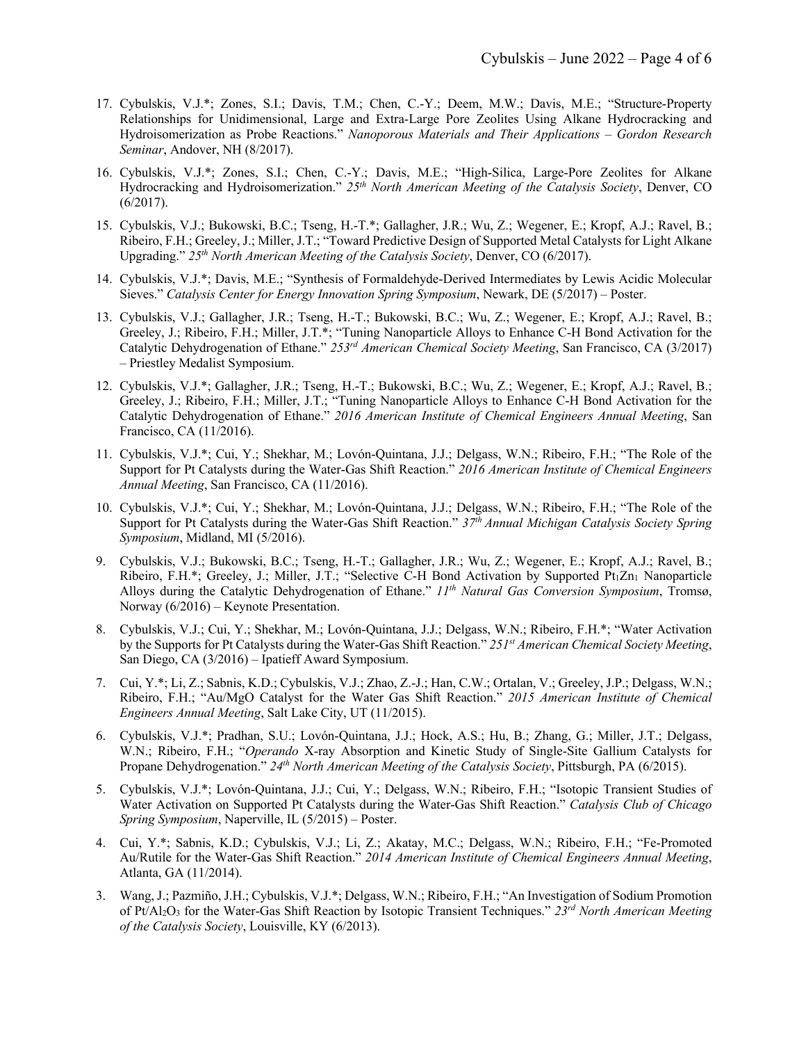- 17. Cybulskis, V.J.\*; Zones, S.I.; Davis, T.M.; Chen, C.-Y.; Deem, M.W.; Davis, M.E.; "Structure-Property Relationships for Unidimensional, Large and Extra-Large Pore Zeolites Using Alkane Hydrocracking and Hydroisomerization as Probe Reactions." *Nanoporous Materials and Their Applications – Gordon Research Seminar*, Andover, NH (8/2017).
- 16. Cybulskis, V.J.\*; Zones, S.I.; Chen, C.-Y.; Davis, M.E.; "High-Silica, Large-Pore Zeolites for Alkane Hydrocracking and Hydroisomerization." *25th North American Meeting of the Catalysis Society*, Denver, CO (6/2017).
- 15. Cybulskis, V.J.; Bukowski, B.C.; Tseng, H.-T.\*; Gallagher, J.R.; Wu, Z.; Wegener, E.; Kropf, A.J.; Ravel, B.; Ribeiro, F.H.; Greeley, J.; Miller, J.T.; "Toward Predictive Design of Supported Metal Catalysts for Light Alkane Upgrading." *25th North American Meeting of the Catalysis Society*, Denver, CO (6/2017).
- 14. Cybulskis, V.J.\*; Davis, M.E.; "Synthesis of Formaldehyde-Derived Intermediates by Lewis Acidic Molecular Sieves." *Catalysis Center for Energy Innovation Spring Symposium*, Newark, DE (5/2017) – Poster.
- 13. Cybulskis, V.J.; Gallagher, J.R.; Tseng, H.-T.; Bukowski, B.C.; Wu, Z.; Wegener, E.; Kropf, A.J.; Ravel, B.; Greeley, J.; Ribeiro, F.H.; Miller, J.T.\*; "Tuning Nanoparticle Alloys to Enhance C-H Bond Activation for the Catalytic Dehydrogenation of Ethane." *253rd American Chemical Society Meeting*, San Francisco, CA (3/2017) – Priestley Medalist Symposium.
- 12. Cybulskis, V.J.\*; Gallagher, J.R.; Tseng, H.-T.; Bukowski, B.C.; Wu, Z.; Wegener, E.; Kropf, A.J.; Ravel, B.; Greeley, J.; Ribeiro, F.H.; Miller, J.T.; "Tuning Nanoparticle Alloys to Enhance C-H Bond Activation for the Catalytic Dehydrogenation of Ethane." *2016 American Institute of Chemical Engineers Annual Meeting*, San Francisco, CA (11/2016).
- 11. Cybulskis, V.J.\*; Cui, Y.; Shekhar, M.; Lovón-Quintana, J.J.; Delgass, W.N.; Ribeiro, F.H.; "The Role of the Support for Pt Catalysts during the Water-Gas Shift Reaction." *2016 American Institute of Chemical Engineers Annual Meeting*, San Francisco, CA (11/2016).
- 10. Cybulskis, V.J.\*; Cui, Y.; Shekhar, M.; Lovón-Quintana, J.J.; Delgass, W.N.; Ribeiro, F.H.; "The Role of the Support for Pt Catalysts during the Water-Gas Shift Reaction." *37th Annual Michigan Catalysis Society Spring Symposium*, Midland, MI (5/2016).
- 9. Cybulskis, V.J.; Bukowski, B.C.; Tseng, H.-T.; Gallagher, J.R.; Wu, Z.; Wegener, E.; Kropf, A.J.; Ravel, B.; Ribeiro, F.H.\*; Greeley, J.; Miller, J.T.; "Selective C-H Bond Activation by Supported Pt<sub>1</sub>Zn<sub>1</sub> Nanoparticle Alloys during the Catalytic Dehydrogenation of Ethane." *11th Natural Gas Conversion Symposium*, Tromsø, Norway (6/2016) – Keynote Presentation.
- 8. Cybulskis, V.J.; Cui, Y.; Shekhar, M.; Lovón-Quintana, J.J.; Delgass, W.N.; Ribeiro, F.H.\*; "Water Activation by the Supports for Pt Catalysts during the Water-Gas Shift Reaction." *251st American Chemical Society Meeting*, San Diego, CA (3/2016) – Ipatieff Award Symposium.
- 7. Cui, Y.\*; Li, Z.; Sabnis, K.D.; Cybulskis, V.J.; Zhao, Z.-J.; Han, C.W.; Ortalan, V.; Greeley, J.P.; Delgass, W.N.; Ribeiro, F.H.; "Au/MgO Catalyst for the Water Gas Shift Reaction." *2015 American Institute of Chemical Engineers Annual Meeting*, Salt Lake City, UT (11/2015).
- 6. Cybulskis, V.J.\*; Pradhan, S.U.; Lovón-Quintana, J.J.; Hock, A.S.; Hu, B.; Zhang, G.; Miller, J.T.; Delgass, W.N.; Ribeiro, F.H.; "*Operando* X-ray Absorption and Kinetic Study of Single-Site Gallium Catalysts for Propane Dehydrogenation." *24th North American Meeting of the Catalysis Society*, Pittsburgh, PA (6/2015).
- 5. Cybulskis, V.J.\*; Lovón-Quintana, J.J.; Cui, Y.; Delgass, W.N.; Ribeiro, F.H.; "Isotopic Transient Studies of Water Activation on Supported Pt Catalysts during the Water-Gas Shift Reaction." *Catalysis Club of Chicago Spring Symposium*, Naperville, IL (5/2015) – Poster.
- 4. Cui, Y.\*; Sabnis, K.D.; Cybulskis, V.J.; Li, Z.; Akatay, M.C.; Delgass, W.N.; Ribeiro, F.H.; "Fe-Promoted Au/Rutile for the Water-Gas Shift Reaction." *2014 American Institute of Chemical Engineers Annual Meeting*, Atlanta, GA (11/2014).
- 3. Wang, J.; Pazmiño, J.H.; Cybulskis, V.J.\*; Delgass, W.N.; Ribeiro, F.H.; "An Investigation of Sodium Promotion of Pt/Al2O3 for the Water-Gas Shift Reaction by Isotopic Transient Techniques." *23rd North American Meeting of the Catalysis Society*, Louisville, KY (6/2013).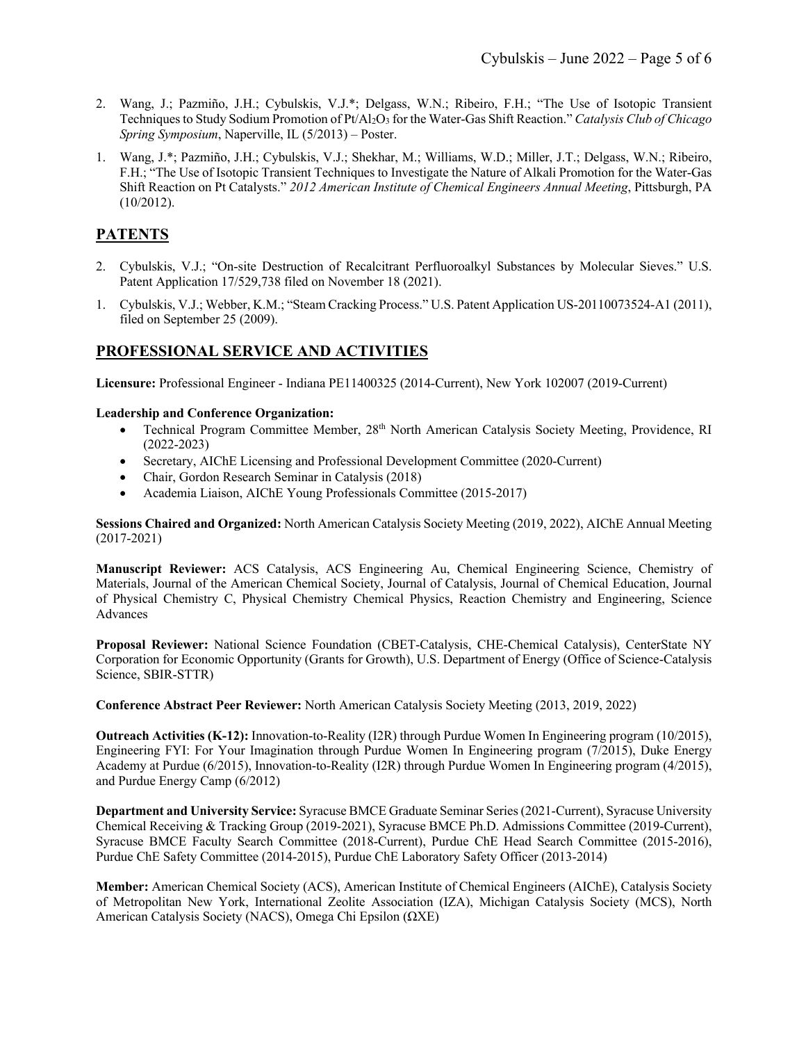- 2. Wang, J.; Pazmiño, J.H.; Cybulskis, V.J.\*; Delgass, W.N.; Ribeiro, F.H.; "The Use of Isotopic Transient Techniques to Study Sodium Promotion of Pt/Al2O3 for the Water-Gas Shift Reaction." *Catalysis Club of Chicago Spring Symposium*, Naperville, IL (5/2013) – Poster.
- 1. Wang, J.\*; Pazmiño, J.H.; Cybulskis, V.J.; Shekhar, M.; Williams, W.D.; Miller, J.T.; Delgass, W.N.; Ribeiro, F.H.; "The Use of Isotopic Transient Techniques to Investigate the Nature of Alkali Promotion for the Water-Gas Shift Reaction on Pt Catalysts." *2012 American Institute of Chemical Engineers Annual Meeting*, Pittsburgh, PA (10/2012).

# **PATENTS**

- 2. Cybulskis, V.J.; "On-site Destruction of Recalcitrant Perfluoroalkyl Substances by Molecular Sieves." U.S. Patent Application 17/529,738 filed on November 18 (2021).
- 1. Cybulskis, V.J.; Webber, K.M.; "Steam Cracking Process." U.S. Patent Application US-20110073524-A1 (2011), filed on September 25 (2009).

# **PROFESSIONAL SERVICE AND ACTIVITIES**

**Licensure:** Professional Engineer - Indiana PE11400325 (2014-Current), New York 102007 (2019-Current)

**Leadership and Conference Organization:**

- Technical Program Committee Member, 28<sup>th</sup> North American Catalysis Society Meeting, Providence, RI (2022-2023)
- Secretary, AIChE Licensing and Professional Development Committee (2020-Current)
- Chair, Gordon Research Seminar in Catalysis (2018)
- Academia Liaison, AIChE Young Professionals Committee (2015-2017)

**Sessions Chaired and Organized:** North American Catalysis Society Meeting (2019, 2022), AIChE Annual Meeting (2017-2021)

**Manuscript Reviewer:** ACS Catalysis, ACS Engineering Au, Chemical Engineering Science, Chemistry of Materials, Journal of the American Chemical Society, Journal of Catalysis, Journal of Chemical Education, Journal of Physical Chemistry C, Physical Chemistry Chemical Physics, Reaction Chemistry and Engineering, Science Advances

**Proposal Reviewer:** National Science Foundation (CBET-Catalysis, CHE-Chemical Catalysis), CenterState NY Corporation for Economic Opportunity (Grants for Growth), U.S. Department of Energy (Office of Science-Catalysis Science, SBIR-STTR)

**Conference Abstract Peer Reviewer:** North American Catalysis Society Meeting (2013, 2019, 2022)

**Outreach Activities (K-12):** Innovation-to-Reality (I2R) through Purdue Women In Engineering program (10/2015), Engineering FYI: For Your Imagination through Purdue Women In Engineering program (7/2015), Duke Energy Academy at Purdue (6/2015), Innovation-to-Reality (I2R) through Purdue Women In Engineering program (4/2015), and Purdue Energy Camp (6/2012)

**Department and University Service:** Syracuse BMCE Graduate Seminar Series (2021-Current), Syracuse University Chemical Receiving & Tracking Group (2019-2021), Syracuse BMCE Ph.D. Admissions Committee (2019-Current), Syracuse BMCE Faculty Search Committee (2018-Current), Purdue ChE Head Search Committee (2015-2016), Purdue ChE Safety Committee (2014-2015), Purdue ChE Laboratory Safety Officer (2013-2014)

**Member:** American Chemical Society (ACS), American Institute of Chemical Engineers (AIChE), Catalysis Society of Metropolitan New York, International Zeolite Association (IZA), Michigan Catalysis Society (MCS), North American Catalysis Society (NACS), Omega Chi Epsilon (ΩΧΕ)